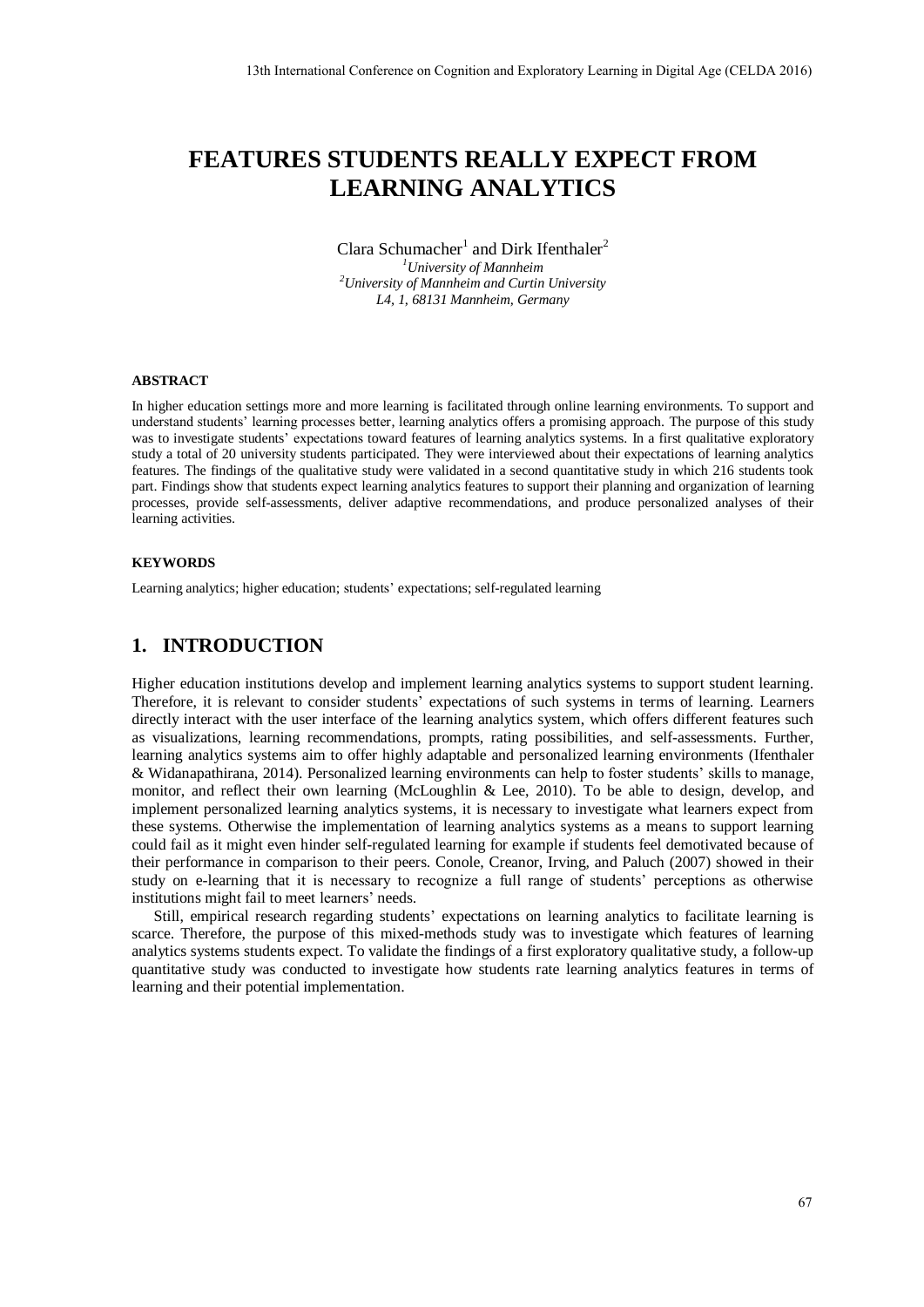# **FEATURES STUDENTS REALLY EXPECT FROM LEARNING ANALYTICS**

### Clara Schumacher<sup>1</sup> and Dirk Ifenthaler<sup>2</sup> *<sup>1</sup>University of Mannheim*

*<sup>2</sup>University of Mannheim and Curtin University L4, 1, 68131 Mannheim, Germany* 

### **ABSTRACT**

In higher education settings more and more learning is facilitated through online learning environments. To support and understand students' learning processes better, learning analytics offers a promising approach. The purpose of this study was to investigate students' expectations toward features of learning analytics systems. In a first qualitative exploratory study a total of 20 university students participated. They were interviewed about their expectations of learning analytics features. The findings of the qualitative study were validated in a second quantitative study in which 216 students took part. Findings show that students expect learning analytics features to support their planning and organization of learning processes, provide self-assessments, deliver adaptive recommendations, and produce personalized analyses of their learning activities.

#### **KEYWORDS**

Learning analytics; higher education; students' expectations; self-regulated learning

# **1. INTRODUCTION**

Higher education institutions develop and implement learning analytics systems to support student learning. Therefore, it is relevant to consider students' expectations of such systems in terms of learning. Learners directly interact with the user interface of the learning analytics system, which offers different features such as visualizations, learning recommendations, prompts, rating possibilities, and self-assessments. Further, learning analytics systems aim to offer highly adaptable and personalized learning environments (Ifenthaler & Widanapathirana, 2014). Personalized learning environments can help to foster students' skills to manage, monitor, and reflect their own learning (McLoughlin & Lee, 2010). To be able to design, develop, and implement personalized learning analytics systems, it is necessary to investigate what learners expect from these systems. Otherwise the implementation of learning analytics systems as a means to support learning could fail as it might even hinder self-regulated learning for example if students feel demotivated because of their performance in comparison to their peers. Conole, Creanor, Irving, and Paluch (2007) showed in their study on e-learning that it is necessary to recognize a full range of students' perceptions as otherwise institutions might fail to meet learners' needs.

Still, empirical research regarding students' expectations on learning analytics to facilitate learning is scarce. Therefore, the purpose of this mixed-methods study was to investigate which features of learning analytics systems students expect. To validate the findings of a first exploratory qualitative study, a follow-up quantitative study was conducted to investigate how students rate learning analytics features in terms of learning and their potential implementation.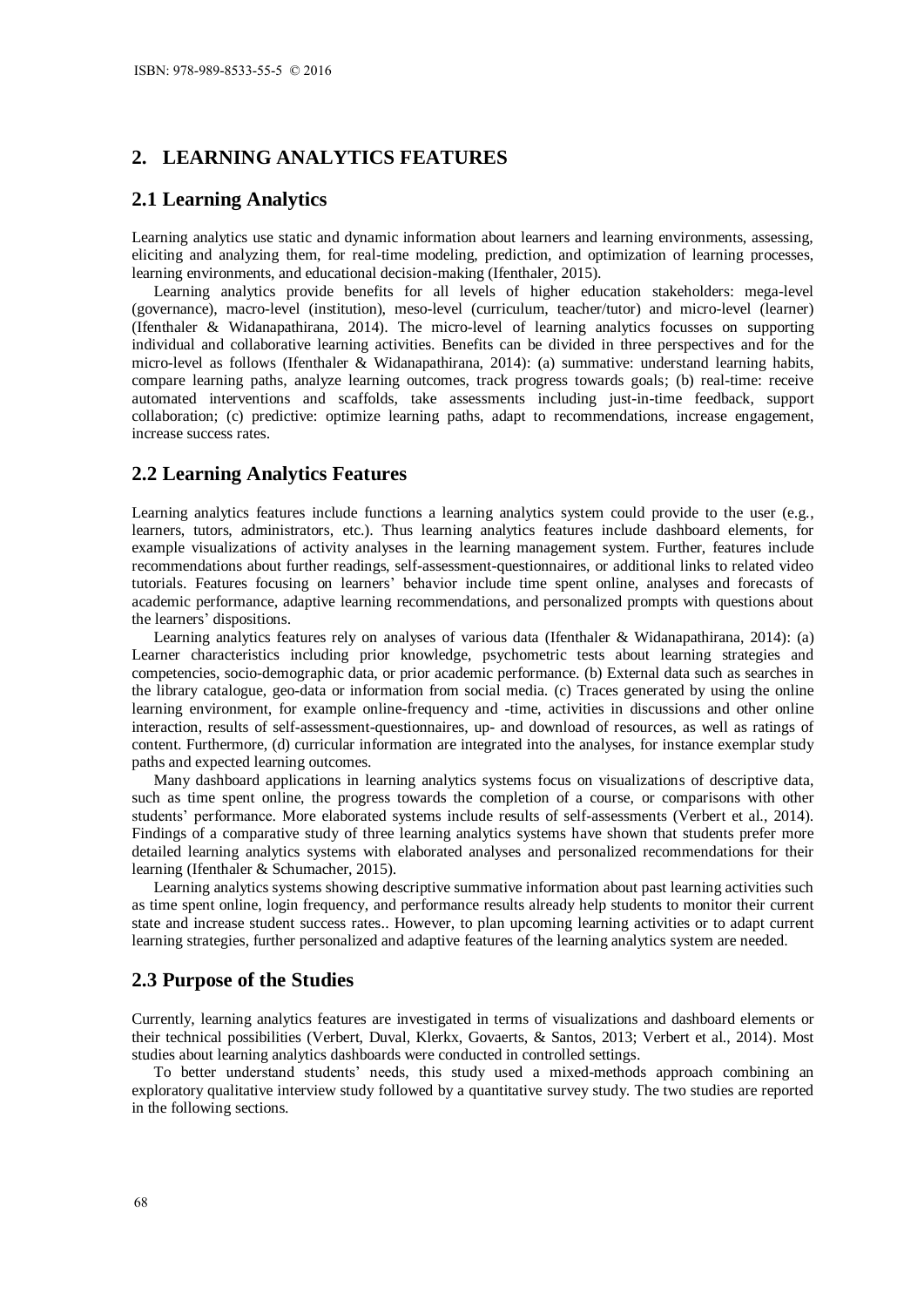# **2. LEARNING ANALYTICS FEATURES**

### **2.1 Learning Analytics**

Learning analytics use static and dynamic information about learners and learning environments, assessing, eliciting and analyzing them, for real-time modeling, prediction, and optimization of learning processes, learning environments, and educational decision-making (Ifenthaler, 2015).

Learning analytics provide benefits for all levels of higher education stakeholders: mega-level (governance), macro-level (institution), meso-level (curriculum, teacher/tutor) and micro-level (learner) (Ifenthaler & Widanapathirana, 2014). The micro-level of learning analytics focusses on supporting individual and collaborative learning activities. Benefits can be divided in three perspectives and for the micro-level as follows (Ifenthaler & Widanapathirana, 2014): (a) summative: understand learning habits, compare learning paths, analyze learning outcomes, track progress towards goals; (b) real-time: receive automated interventions and scaffolds, take assessments including just-in-time feedback, support collaboration; (c) predictive: optimize learning paths, adapt to recommendations, increase engagement, increase success rates.

### **2.2 Learning Analytics Features**

Learning analytics features include functions a learning analytics system could provide to the user (e.g., learners, tutors, administrators, etc.). Thus learning analytics features include dashboard elements, for example visualizations of activity analyses in the learning management system. Further, features include recommendations about further readings, self-assessment-questionnaires, or additional links to related video tutorials. Features focusing on learners' behavior include time spent online, analyses and forecasts of academic performance, adaptive learning recommendations, and personalized prompts with questions about the learners' dispositions.

Learning analytics features rely on analyses of various data (Ifenthaler & Widanapathirana, 2014): (a) Learner characteristics including prior knowledge, psychometric tests about learning strategies and competencies, socio-demographic data, or prior academic performance. (b) External data such as searches in the library catalogue, geo-data or information from social media. (c) Traces generated by using the online learning environment, for example online-frequency and -time, activities in discussions and other online interaction, results of self-assessment-questionnaires, up- and download of resources, as well as ratings of content. Furthermore, (d) curricular information are integrated into the analyses, for instance exemplar study paths and expected learning outcomes.

Many dashboard applications in learning analytics systems focus on visualizations of descriptive data, such as time spent online, the progress towards the completion of a course, or comparisons with other students' performance. More elaborated systems include results of self-assessments (Verbert et al., 2014). Findings of a comparative study of three learning analytics systems have shown that students prefer more detailed learning analytics systems with elaborated analyses and personalized recommendations for their learning (Ifenthaler & Schumacher, 2015).

Learning analytics systems showing descriptive summative information about past learning activities such as time spent online, login frequency, and performance results already help students to monitor their current state and increase student success rates.. However, to plan upcoming learning activities or to adapt current learning strategies, further personalized and adaptive features of the learning analytics system are needed.

# **2.3 Purpose of the Studies**

Currently, learning analytics features are investigated in terms of visualizations and dashboard elements or their technical possibilities (Verbert, Duval, Klerkx, Govaerts, & Santos, 2013; Verbert et al., 2014). Most studies about learning analytics dashboards were conducted in controlled settings.

To better understand students' needs, this study used a mixed-methods approach combining an exploratory qualitative interview study followed by a quantitative survey study. The two studies are reported in the following sections.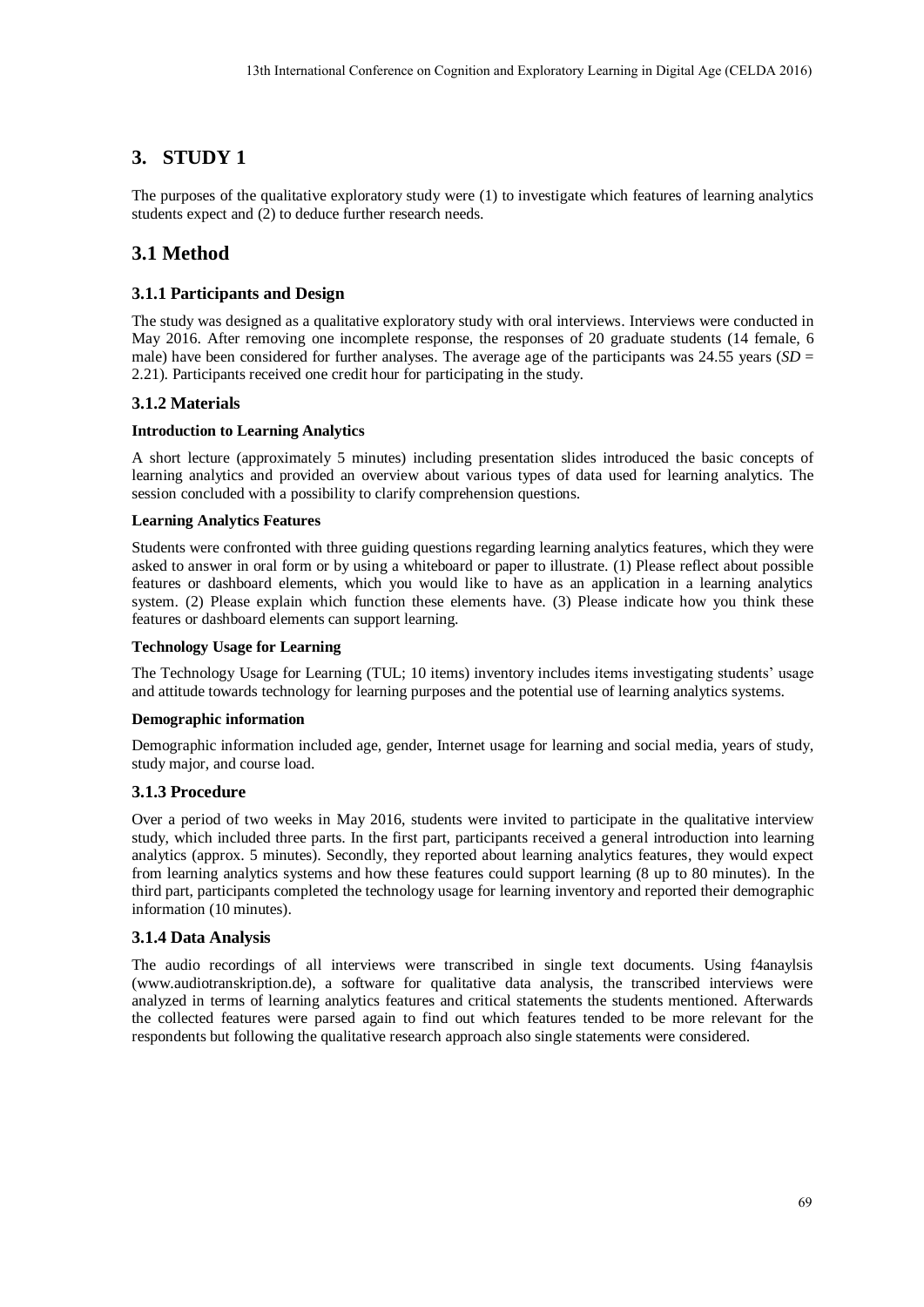# **3. STUDY 1**

The purposes of the qualitative exploratory study were (1) to investigate which features of learning analytics students expect and (2) to deduce further research needs.

# **3.1 Method**

## **3.1.1 Participants and Design**

The study was designed as a qualitative exploratory study with oral interviews. Interviews were conducted in May 2016. After removing one incomplete response, the responses of 20 graduate students (14 female, 6 male) have been considered for further analyses. The average age of the participants was 24.55 years  $(SD =$ 2.21). Participants received one credit hour for participating in the study.

## **3.1.2 Materials**

### **Introduction to Learning Analytics**

A short lecture (approximately 5 minutes) including presentation slides introduced the basic concepts of learning analytics and provided an overview about various types of data used for learning analytics. The session concluded with a possibility to clarify comprehension questions.

### **Learning Analytics Features**

Students were confronted with three guiding questions regarding learning analytics features, which they were asked to answer in oral form or by using a whiteboard or paper to illustrate. (1) Please reflect about possible features or dashboard elements, which you would like to have as an application in a learning analytics system. (2) Please explain which function these elements have. (3) Please indicate how you think these features or dashboard elements can support learning.

### **Technology Usage for Learning**

The Technology Usage for Learning (TUL; 10 items) inventory includes items investigating students' usage and attitude towards technology for learning purposes and the potential use of learning analytics systems.

### **Demographic information**

Demographic information included age, gender, Internet usage for learning and social media, years of study, study major, and course load.

### **3.1.3 Procedure**

Over a period of two weeks in May 2016, students were invited to participate in the qualitative interview study, which included three parts. In the first part, participants received a general introduction into learning analytics (approx. 5 minutes). Secondly, they reported about learning analytics features, they would expect from learning analytics systems and how these features could support learning (8 up to 80 minutes). In the third part, participants completed the technology usage for learning inventory and reported their demographic information (10 minutes).

### **3.1.4 Data Analysis**

The audio recordings of all interviews were transcribed in single text documents. Using f4anaylsis (www.audiotranskription.de), a software for qualitative data analysis, the transcribed interviews were analyzed in terms of learning analytics features and critical statements the students mentioned. Afterwards the collected features were parsed again to find out which features tended to be more relevant for the respondents but following the qualitative research approach also single statements were considered.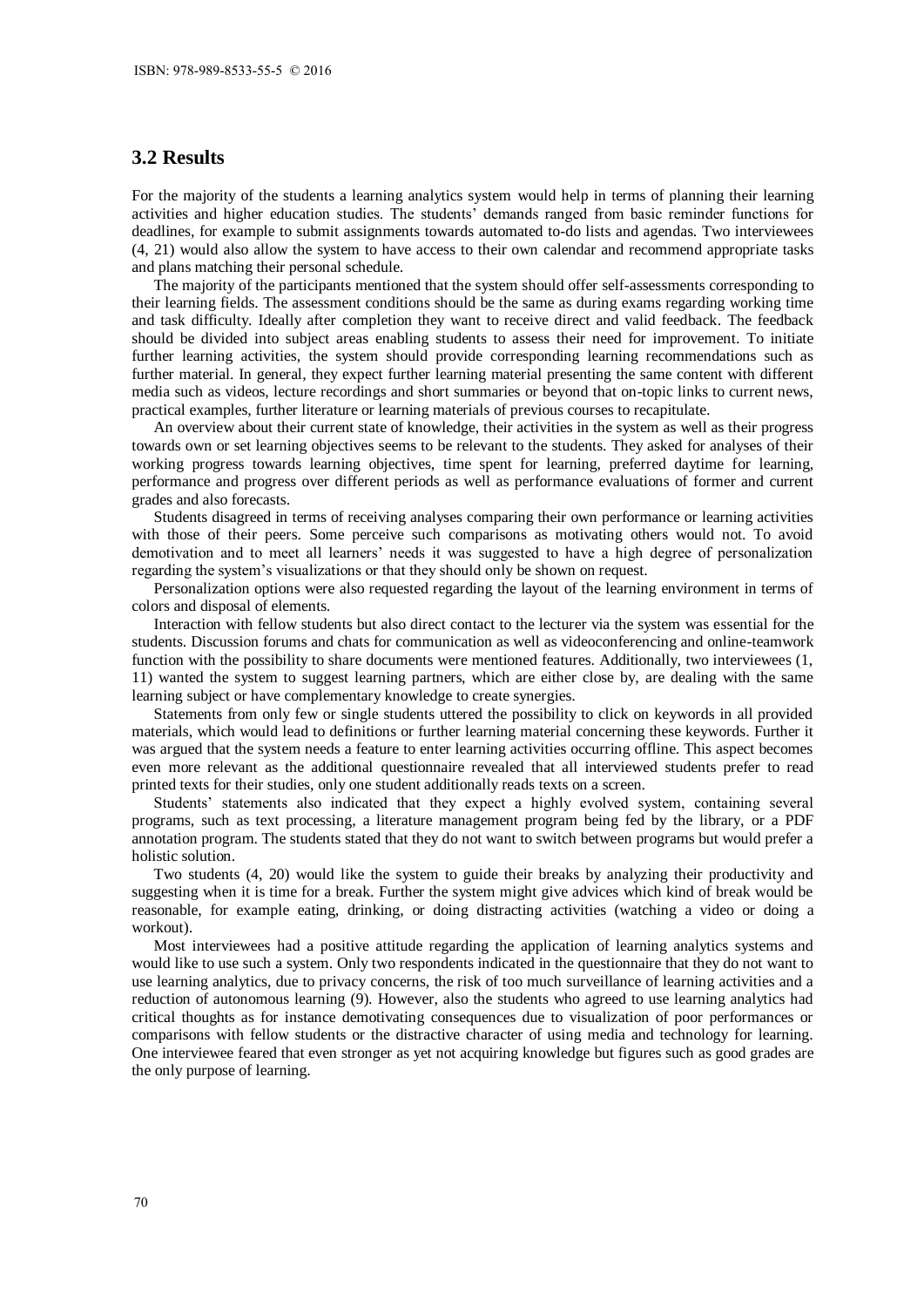# **3.2 Results**

For the majority of the students a learning analytics system would help in terms of planning their learning activities and higher education studies. The students' demands ranged from basic reminder functions for deadlines, for example to submit assignments towards automated to-do lists and agendas. Two interviewees (4, 21) would also allow the system to have access to their own calendar and recommend appropriate tasks and plans matching their personal schedule.

The majority of the participants mentioned that the system should offer self-assessments corresponding to their learning fields. The assessment conditions should be the same as during exams regarding working time and task difficulty. Ideally after completion they want to receive direct and valid feedback. The feedback should be divided into subject areas enabling students to assess their need for improvement. To initiate further learning activities, the system should provide corresponding learning recommendations such as further material. In general, they expect further learning material presenting the same content with different media such as videos, lecture recordings and short summaries or beyond that on-topic links to current news, practical examples, further literature or learning materials of previous courses to recapitulate.

An overview about their current state of knowledge, their activities in the system as well as their progress towards own or set learning objectives seems to be relevant to the students. They asked for analyses of their working progress towards learning objectives, time spent for learning, preferred daytime for learning, performance and progress over different periods as well as performance evaluations of former and current grades and also forecasts.

Students disagreed in terms of receiving analyses comparing their own performance or learning activities with those of their peers. Some perceive such comparisons as motivating others would not. To avoid demotivation and to meet all learners' needs it was suggested to have a high degree of personalization regarding the system's visualizations or that they should only be shown on request.

Personalization options were also requested regarding the layout of the learning environment in terms of colors and disposal of elements.

Interaction with fellow students but also direct contact to the lecturer via the system was essential for the students. Discussion forums and chats for communication as well as videoconferencing and online-teamwork function with the possibility to share documents were mentioned features. Additionally, two interviewees (1, 11) wanted the system to suggest learning partners, which are either close by, are dealing with the same learning subject or have complementary knowledge to create synergies.

Statements from only few or single students uttered the possibility to click on keywords in all provided materials, which would lead to definitions or further learning material concerning these keywords. Further it was argued that the system needs a feature to enter learning activities occurring offline. This aspect becomes even more relevant as the additional questionnaire revealed that all interviewed students prefer to read printed texts for their studies, only one student additionally reads texts on a screen.

Students' statements also indicated that they expect a highly evolved system, containing several programs, such as text processing, a literature management program being fed by the library, or a PDF annotation program. The students stated that they do not want to switch between programs but would prefer a holistic solution.

Two students (4, 20) would like the system to guide their breaks by analyzing their productivity and suggesting when it is time for a break. Further the system might give advices which kind of break would be reasonable, for example eating, drinking, or doing distracting activities (watching a video or doing a workout).

Most interviewees had a positive attitude regarding the application of learning analytics systems and would like to use such a system. Only two respondents indicated in the questionnaire that they do not want to use learning analytics, due to privacy concerns, the risk of too much surveillance of learning activities and a reduction of autonomous learning (9). However, also the students who agreed to use learning analytics had critical thoughts as for instance demotivating consequences due to visualization of poor performances or comparisons with fellow students or the distractive character of using media and technology for learning. One interviewee feared that even stronger as yet not acquiring knowledge but figures such as good grades are the only purpose of learning.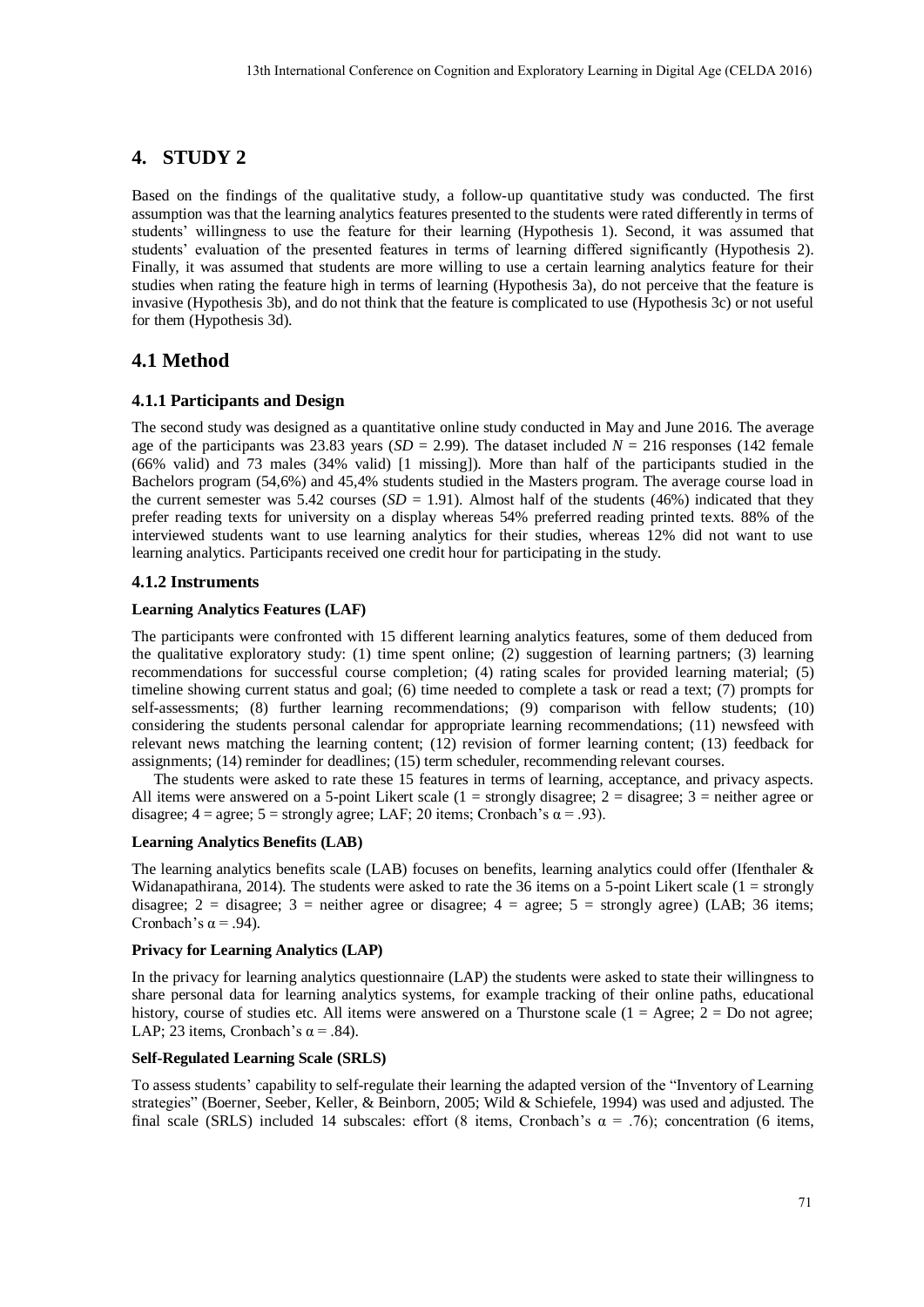# **4. STUDY 2**

Based on the findings of the qualitative study, a follow-up quantitative study was conducted. The first assumption was that the learning analytics features presented to the students were rated differently in terms of students' willingness to use the feature for their learning (Hypothesis 1). Second, it was assumed that students' evaluation of the presented features in terms of learning differed significantly (Hypothesis 2). Finally, it was assumed that students are more willing to use a certain learning analytics feature for their studies when rating the feature high in terms of learning (Hypothesis 3a), do not perceive that the feature is invasive (Hypothesis 3b), and do not think that the feature is complicated to use (Hypothesis 3c) or not useful for them (Hypothesis 3d).

# **4.1 Method**

### **4.1.1 Participants and Design**

The second study was designed as a quantitative online study conducted in May and June 2016. The average age of the participants was 23.83 years ( $SD = 2.99$ ). The dataset included  $N = 216$  responses (142 female (66% valid) and 73 males (34% valid) [1 missing]). More than half of the participants studied in the Bachelors program (54,6%) and 45,4% students studied in the Masters program. The average course load in the current semester was 5.42 courses  $(SD = 1.91)$ . Almost half of the students (46%) indicated that they prefer reading texts for university on a display whereas 54% preferred reading printed texts. 88% of the interviewed students want to use learning analytics for their studies, whereas 12% did not want to use learning analytics. Participants received one credit hour for participating in the study.

### **4.1.2 Instruments**

#### **Learning Analytics Features (LAF)**

The participants were confronted with 15 different learning analytics features, some of them deduced from the qualitative exploratory study: (1) time spent online; (2) suggestion of learning partners; (3) learning recommendations for successful course completion; (4) rating scales for provided learning material; (5) timeline showing current status and goal; (6) time needed to complete a task or read a text; (7) prompts for self-assessments; (8) further learning recommendations; (9) comparison with fellow students; (10) considering the students personal calendar for appropriate learning recommendations; (11) newsfeed with relevant news matching the learning content; (12) revision of former learning content; (13) feedback for assignments; (14) reminder for deadlines; (15) term scheduler, recommending relevant courses.

The students were asked to rate these 15 features in terms of learning, acceptance, and privacy aspects. All items were answered on a 5-point Likert scale  $(1 =$  strongly disagree;  $2 =$  disagree;  $3 =$  neither agree or disagree;  $4 = \text{agree}$ ;  $5 = \text{strongly agree}$ ; LAF; 20 items; Cronbach's  $\alpha = .93$ ).

### **Learning Analytics Benefits (LAB)**

The learning analytics benefits scale (LAB) focuses on benefits, learning analytics could offer (Ifenthaler & Widanapathirana, 2014). The students were asked to rate the 36 items on a 5-point Likert scale  $(1 =$  strongly disagree; 2 = disagree; 3 = neither agree or disagree; 4 = agree; 5 = strongly agree) (LAB; 36 items; Cronbach's  $\alpha$  = .94).

### **Privacy for Learning Analytics (LAP)**

In the privacy for learning analytics questionnaire (LAP) the students were asked to state their willingness to share personal data for learning analytics systems, for example tracking of their online paths, educational history, course of studies etc. All items were answered on a Thurstone scale  $(1 = \text{Agree}; 2 = \text{Do not agree};$ LAP; 23 items, Cronbach's  $\alpha$  = .84).

### **Self-Regulated Learning Scale (SRLS)**

To assess students' capability to self-regulate their learning the adapted version of the "Inventory of Learning strategies" (Boerner, Seeber, Keller, & Beinborn, 2005; Wild & Schiefele, 1994) was used and adjusted. The final scale (SRLS) included 14 subscales: effort (8 items, Cronbach's  $\alpha = .76$ ); concentration (6 items,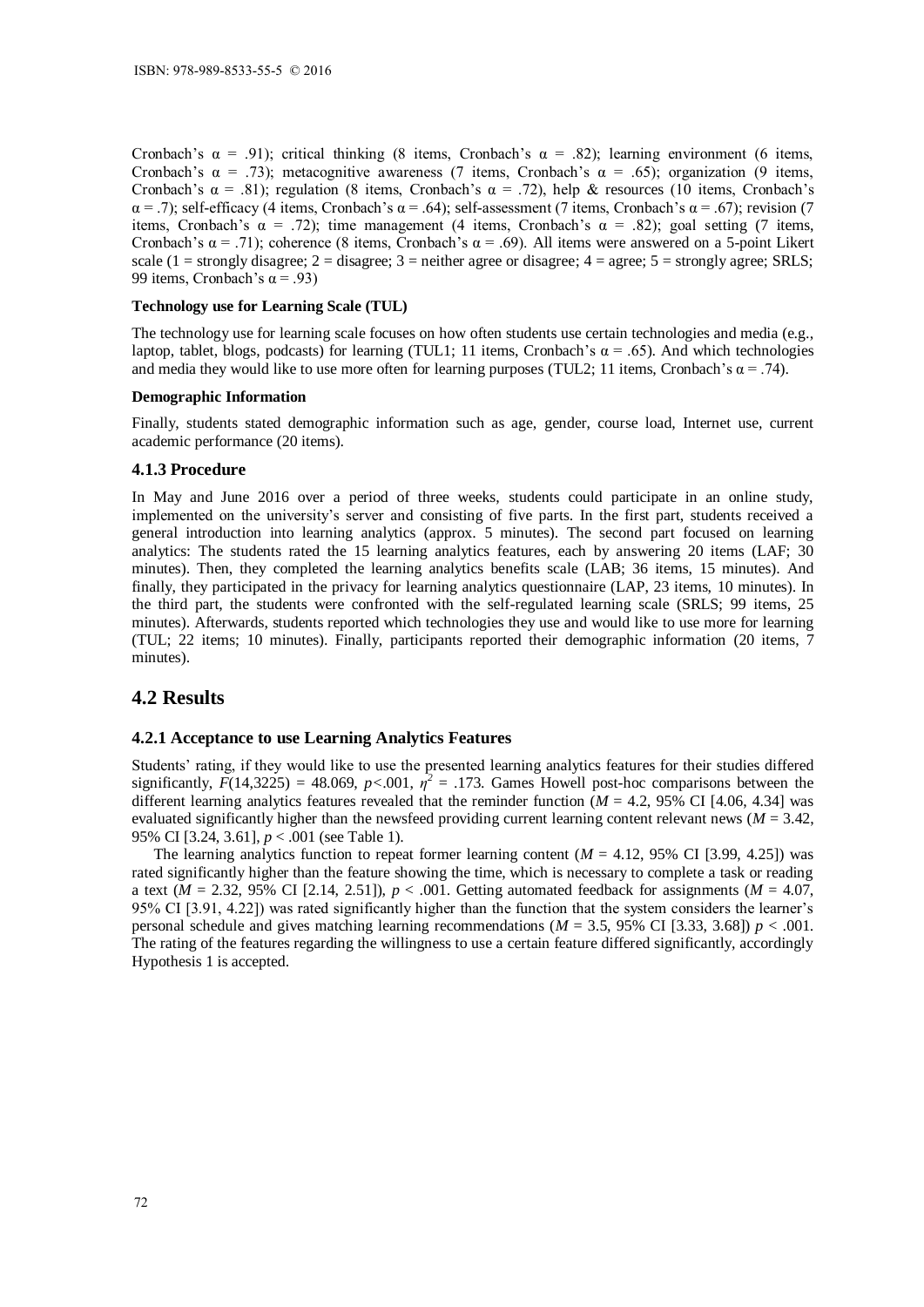Cronbach's α = .91); critical thinking (8 items, Cronbach's α = .82); learning environment (6 items, Cronbach's  $\alpha$  = .73); metacognitive awareness (7 items, Cronbach's  $\alpha$  = .65); organization (9 items, Cronbach's  $\alpha = .81$ ); regulation (8 items, Cronbach's  $\alpha = .72$ ), help & resources (10 items, Cronbach's  $\alpha$  = .7); self-efficacy (4 items, Cronbach's  $\alpha$  = .64); self-assessment (7 items, Cronbach's  $\alpha$  = .67); revision (7 items, Cronbach's  $\alpha$  = .72); time management (4 items, Cronbach's  $\alpha$  = .82); goal setting (7 items, Cronbach's  $\alpha$  = .71); coherence (8 items, Cronbach's  $\alpha$  = .69). All items were answered on a 5-point Likert scale (1 = strongly disagree; 2 = disagree; 3 = neither agree or disagree;  $4$  = agree;  $5$  = strongly agree; SRLS; 99 items, Cronbach's  $\alpha$  = .93)

#### **Technology use for Learning Scale (TUL)**

The technology use for learning scale focuses on how often students use certain technologies and media (e.g., laptop, tablet, blogs, podcasts) for learning (TUL1; 11 items, Cronbach's  $\alpha = .65$ ). And which technologies and media they would like to use more often for learning purposes (TUL2; 11 items, Cronbach's  $\alpha$  = .74).

#### **Demographic Information**

Finally, students stated demographic information such as age, gender, course load, Internet use, current academic performance (20 items).

### **4.1.3 Procedure**

In May and June 2016 over a period of three weeks, students could participate in an online study, implemented on the university's server and consisting of five parts. In the first part, students received a general introduction into learning analytics (approx. 5 minutes). The second part focused on learning analytics: The students rated the 15 learning analytics features, each by answering 20 items (LAF; 30 minutes). Then, they completed the learning analytics benefits scale (LAB; 36 items, 15 minutes). And finally, they participated in the privacy for learning analytics questionnaire (LAP, 23 items, 10 minutes). In the third part, the students were confronted with the self-regulated learning scale (SRLS; 99 items, 25 minutes). Afterwards, students reported which technologies they use and would like to use more for learning (TUL; 22 items; 10 minutes). Finally, participants reported their demographic information (20 items, 7 minutes).

# **4.2 Results**

#### **4.2.1 Acceptance to use Learning Analytics Features**

Students' rating, if they would like to use the presented learning analytics features for their studies differed significantly,  $F(14,3225) = 48.069$ ,  $p < .001$ ,  $\eta^2 = .173$ . Games Howell post-hoc comparisons between the different learning analytics features revealed that the reminder function  $(M = 4.2, 95\%$  CI [4.06, 4.34] was evaluated significantly higher than the newsfeed providing current learning content relevant news ( $M = 3.42$ , 95% CI [3.24, 3.61], *p* < .001 (see Table 1).

The learning analytics function to repeat former learning content  $(M = 4.12, 95\%$  CI [3.99, 4.25]) was rated significantly higher than the feature showing the time, which is necessary to complete a task or reading a text ( $M = 2.32$ , 95% CI [2.14, 2.51]),  $p < .001$ . Getting automated feedback for assignments ( $M = 4.07$ , 95% CI [3.91, 4.22]) was rated significantly higher than the function that the system considers the learner's personal schedule and gives matching learning recommendations ( $M = 3.5$ , 95% CI [3.33, 3.68])  $p < .001$ . The rating of the features regarding the willingness to use a certain feature differed significantly, accordingly Hypothesis 1 is accepted.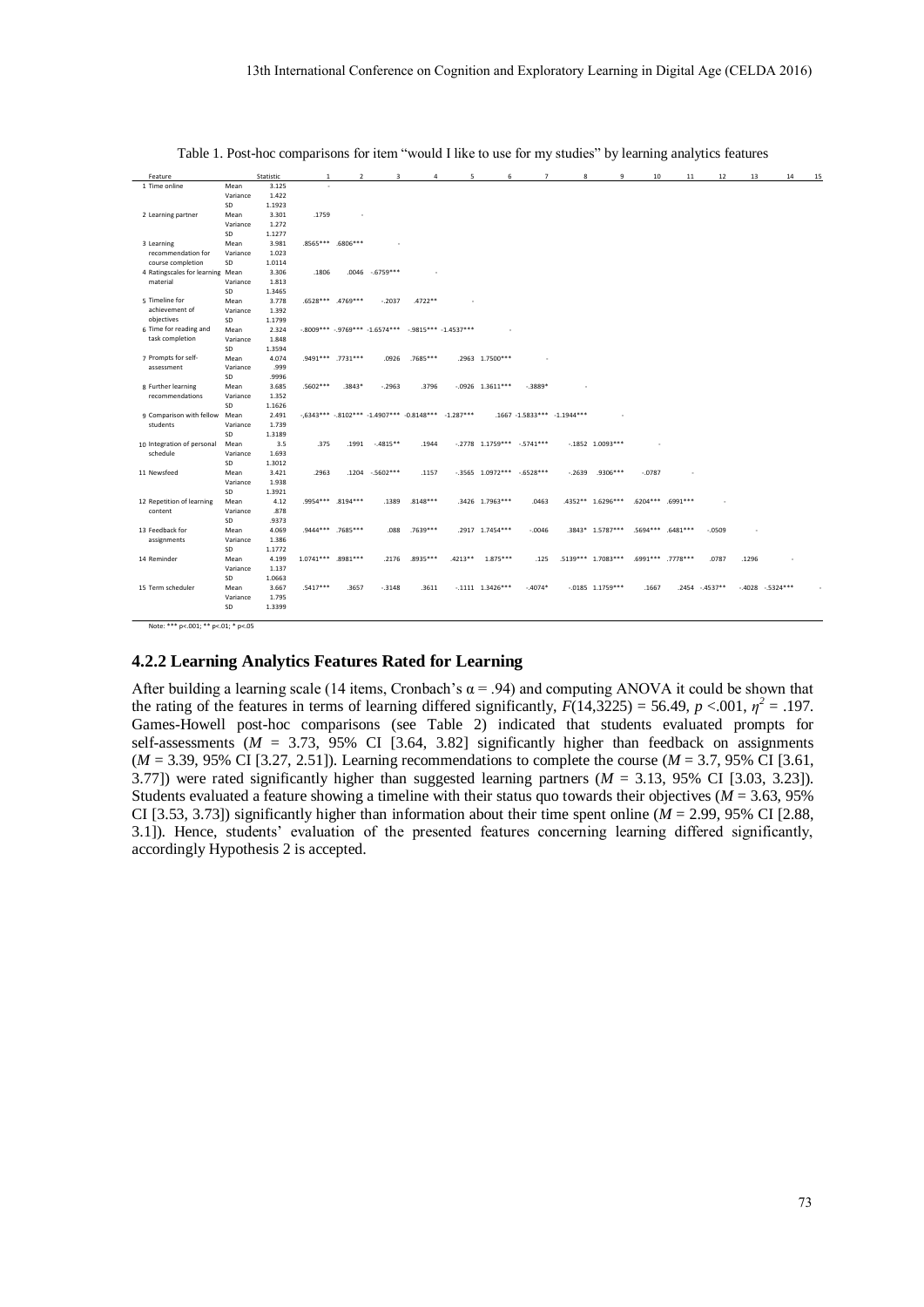| Feature                          |          | Statistic | $\mathbf{1}$       | $\overline{2}$    | 3                                                                | $\overline{4}$ | 5 | 6                            | $\overline{7}$               | 8        | 9                   | 10       | $11\,$            | 12             | 13    | 14                | 15 |
|----------------------------------|----------|-----------|--------------------|-------------------|------------------------------------------------------------------|----------------|---|------------------------------|------------------------------|----------|---------------------|----------|-------------------|----------------|-------|-------------------|----|
| 1 Time online                    | Mean     | 3.125     |                    |                   |                                                                  |                |   |                              |                              |          |                     |          |                   |                |       |                   |    |
|                                  | Variance | 1.422     |                    |                   |                                                                  |                |   |                              |                              |          |                     |          |                   |                |       |                   |    |
|                                  | SD       | 1.1923    |                    |                   |                                                                  |                |   |                              |                              |          |                     |          |                   |                |       |                   |    |
| 2 Learning partner               | Mean     | 3.301     | .1759              |                   |                                                                  |                |   |                              |                              |          |                     |          |                   |                |       |                   |    |
|                                  | Variance | 1.272     |                    |                   |                                                                  |                |   |                              |                              |          |                     |          |                   |                |       |                   |    |
|                                  | SD       | 1.1277    |                    |                   |                                                                  |                |   |                              |                              |          |                     |          |                   |                |       |                   |    |
| 3 Learning                       | Mean     | 3.981     |                    | .8565*** .6806*** |                                                                  |                |   |                              |                              |          |                     |          |                   |                |       |                   |    |
| recommendation for               | Variance | 1.023     |                    |                   |                                                                  |                |   |                              |                              |          |                     |          |                   |                |       |                   |    |
| course completion                | SD       | 1.0114    |                    |                   |                                                                  |                |   |                              |                              |          |                     |          |                   |                |       |                   |    |
| 4 Ratingscales for learning Mean |          | 3.306     | .1806              |                   | $.0046-.6759***$                                                 |                |   |                              |                              |          |                     |          |                   |                |       |                   |    |
| material                         | Variance | 1.813     |                    |                   |                                                                  |                |   |                              |                              |          |                     |          |                   |                |       |                   |    |
|                                  | SD       | 1.3465    |                    |                   |                                                                  |                |   |                              |                              |          |                     |          |                   |                |       |                   |    |
| 5 Timeline for                   | Mean     | 3.778     |                    | .6528*** .4769*** | $-.2037$                                                         | .4722 **       |   |                              |                              |          |                     |          |                   |                |       |                   |    |
| achievement of                   | Variance | 1.392     |                    |                   |                                                                  |                |   |                              |                              |          |                     |          |                   |                |       |                   |    |
| objectives                       | SD       | 1.1799    |                    |                   |                                                                  |                |   |                              |                              |          |                     |          |                   |                |       |                   |    |
| 6 Time for reading and           | Mean     | 2.324     |                    |                   | $-0.8009***$ $-0.9769***$ $-1.6574***$ $-0.9815***$ $-1.4537***$ |                |   |                              |                              |          |                     |          |                   |                |       |                   |    |
| task completion                  | Variance | 1.848     |                    |                   |                                                                  |                |   |                              |                              |          |                     |          |                   |                |       |                   |    |
|                                  | SD       | 1.3594    |                    |                   |                                                                  |                |   |                              |                              |          |                     |          |                   |                |       |                   |    |
| 7 Prompts for self-              | Mean     | 4.074     |                    | .9491*** .7731*** | .0926                                                            | .7685***       |   | .2963 1.7500***              |                              |          |                     |          |                   |                |       |                   |    |
| assessment                       | Variance | .999      |                    |                   |                                                                  |                |   |                              |                              |          |                     |          |                   |                |       |                   |    |
|                                  | SD       | .9996     |                    |                   |                                                                  |                |   |                              |                              |          |                     |          |                   |                |       |                   |    |
| 8 Further learning               | Mean     | 3.685     | $.5602***$         | .3843*            | $-.2963$                                                         | .3796          |   | $-0.0926$ 1.3611***          | $-0.3889*$                   |          |                     |          |                   |                |       |                   |    |
| recommendations                  | Variance | 1.352     |                    |                   |                                                                  |                |   |                              |                              |          |                     |          |                   |                |       |                   |    |
|                                  | SD       | 1.1626    |                    |                   |                                                                  |                |   |                              |                              |          |                     |          |                   |                |       |                   |    |
| 9 Comparison with fellow Mean    |          | 2.491     |                    |                   | $-6343***$ $-8102***$ $-1.4907***$ $-0.8148***$ $-1.287***$      |                |   |                              | .1667 -1.5833*** -1.1944***  |          |                     |          |                   |                |       |                   |    |
| students                         | Variance | 1.739     |                    |                   |                                                                  |                |   |                              |                              |          |                     |          |                   |                |       |                   |    |
|                                  | SD       | 1.3189    |                    |                   |                                                                  |                |   |                              |                              |          |                     |          |                   |                |       |                   |    |
| 10 Integration of personal       | Mean     | 3.5       | .375               | .1991             | $-4815**$                                                        | .1944          |   |                              | $-2778$ 1.1759*** $-5741***$ |          | $-1852$ 1.0093***   |          |                   |                |       |                   |    |
| schedule                         | Variance | 1.693     |                    |                   |                                                                  |                |   |                              |                              |          |                     |          |                   |                |       |                   |    |
|                                  | SD       | 1.3012    |                    |                   |                                                                  |                |   |                              |                              |          |                     |          |                   |                |       |                   |    |
| 11 Newsfeed                      | Mean     | 3.421     | .2963              |                   | .1204 -.5602***                                                  | .1157          |   | $-3565$ 1.0972*** $-6528***$ |                              | $-.2639$ | $.9306***$          | $-.0787$ |                   |                |       |                   |    |
|                                  | Variance | 1.938     |                    |                   |                                                                  |                |   |                              |                              |          |                     |          |                   |                |       |                   |    |
|                                  | SD       | 1.3921    |                    |                   |                                                                  |                |   |                              |                              |          |                     |          |                   |                |       |                   |    |
| 12 Repetition of learning        | Mean     | 4.12      |                    | .9954*** .8194*** | .1389                                                            | $.8148***$     |   | .3426 1.7963***              | .0463                        |          | 4352** 1.6296***    |          | .6204*** .6991*** |                |       |                   |    |
| content                          | Variance | .878      |                    |                   |                                                                  |                |   |                              |                              |          |                     |          |                   |                |       |                   |    |
|                                  | SD       | .9373     |                    |                   |                                                                  |                |   |                              |                              |          |                     |          |                   |                |       |                   |    |
| 13 Feedback for                  | Mean     | 4.069     |                    | .9444*** .7685*** | .088                                                             | $.7639***$     |   | .2917 1.7454***              | $-0.046$                     |          | .3843* 1.5787***    |          | .5694*** .6481*** | $-0509$        |       |                   |    |
| assignments                      | Variance | 1.386     |                    |                   |                                                                  |                |   |                              |                              |          |                     |          |                   |                |       |                   |    |
|                                  | SD       | 1.1772    |                    |                   |                                                                  |                |   |                              |                              |          |                     |          |                   |                |       |                   |    |
| 14 Reminder                      | Mean     | 4.199     | 1.0741*** .8981*** |                   | .2176                                                            | .8935 ***      |   | .4213** 1.875***             | .125                         |          | .5139*** 1.7083***  |          | .6991*** .7778*** | .0787          | .1296 |                   |    |
|                                  | Variance | 1.137     |                    |                   |                                                                  |                |   |                              |                              |          |                     |          |                   |                |       |                   |    |
|                                  | SD       | 1.0663    |                    |                   |                                                                  |                |   |                              |                              |          |                     |          |                   |                |       |                   |    |
| 15 Term scheduler                | Mean     | 3.667     | $.5417***$         | .3657             | $-.3148$                                                         | .3611          |   | $-1111$ $1.3426***$          | $-.4074*$                    |          | $-0.0185$ 1.1759*** | .1667    |                   | .2454 -.4537** |       | $-4028 - 5324***$ |    |
|                                  | Variance | 1.795     |                    |                   |                                                                  |                |   |                              |                              |          |                     |          |                   |                |       |                   |    |
|                                  | SD       | 1.3399    |                    |                   |                                                                  |                |   |                              |                              |          |                     |          |                   |                |       |                   |    |
|                                  |          |           |                    |                   |                                                                  |                |   |                              |                              |          |                     |          |                   |                |       |                   |    |
|                                  |          |           |                    |                   |                                                                  |                |   |                              |                              |          |                     |          |                   |                |       |                   |    |

Table 1. Post-hoc comparisons for item "would I like to use for my studies" by learning analytics features

Note: \*\*\* p<.001; \*\* p<.01; \* p<.05

### **4.2.2 Learning Analytics Features Rated for Learning**

After building a learning scale (14 items, Cronbach's  $\alpha$  = .94) and computing ANOVA it could be shown that the rating of the features in terms of learning differed significantly,  $F(14,3225) = 56.49$ ,  $p < .001$ ,  $\eta^2 = .197$ . Games-Howell post-hoc comparisons (see Table 2) indicated that students evaluated prompts for self-assessments  $(M = 3.73, 95\%$  CI [3.64, 3.82] significantly higher than feedback on assignments (*M* = 3.39, 95% CI [3.27, 2.51]). Learning recommendations to complete the course (*M* = 3.7, 95% CI [3.61, 3.77]) were rated significantly higher than suggested learning partners (*M* = 3.13, 95% CI [3.03, 3.23]). Students evaluated a feature showing a timeline with their status quo towards their objectives ( $M = 3.63$ , 95%) CI [3.53, 3.73]) significantly higher than information about their time spent online ( $M = 2.99$ , 95% CI [2.88, 3.1]). Hence, students' evaluation of the presented features concerning learning differed significantly, accordingly Hypothesis 2 is accepted.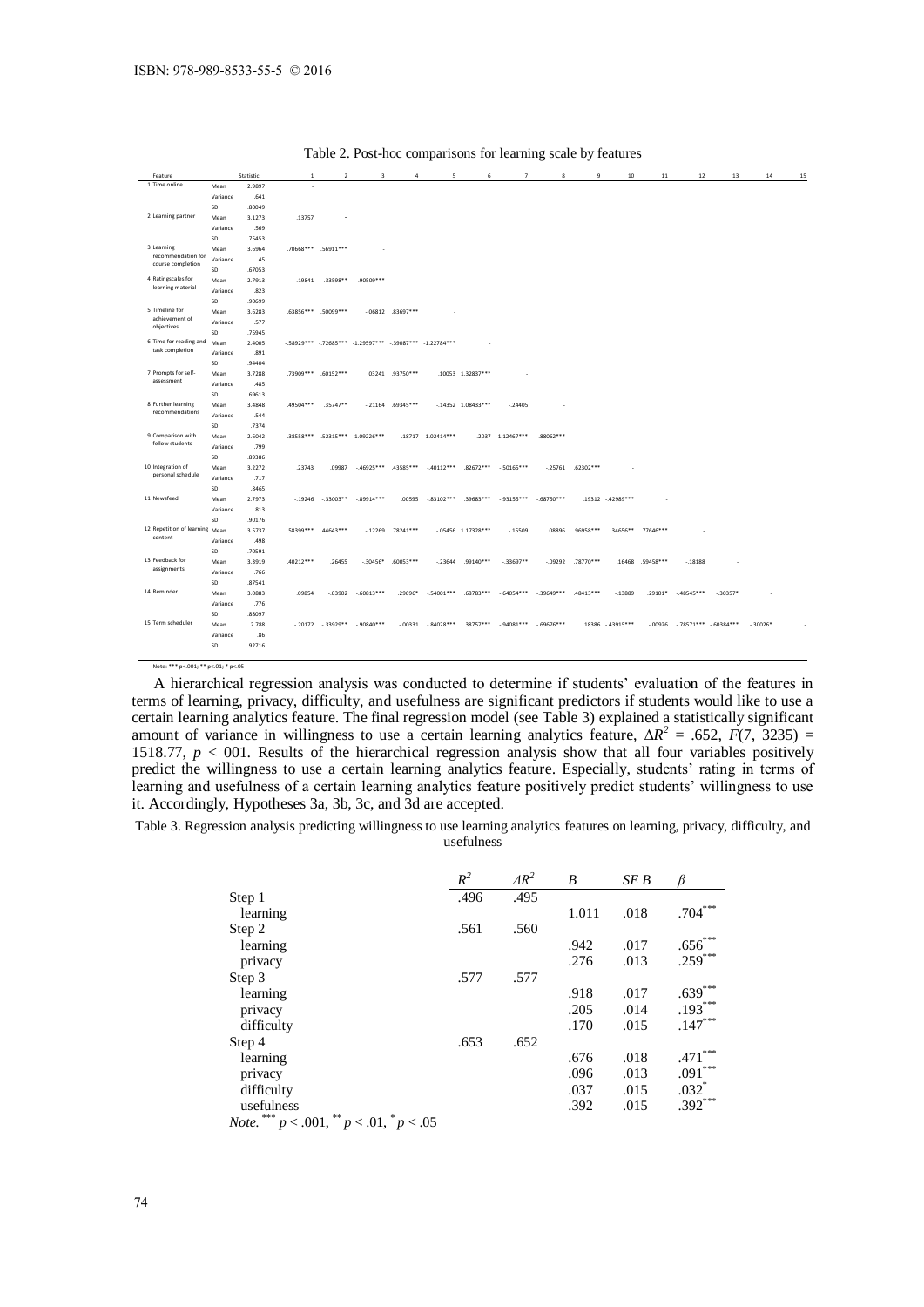| 1 Time online<br>2.9897<br>Mean<br>Variance<br>.641<br>.80049<br>SD<br>2 Learning partner<br>3.1273<br>.13757<br>Mean<br>.569<br>Variance<br>SD<br>.75453<br>3 Learning<br>3.6964<br>.70668*** .56911***<br>Mean<br>recommendation for<br>Variance<br>.45<br>course completion<br>.67053<br>SD<br>4 Ratingscales for<br>$-.19841-.33598**$<br>$-0.90509***$<br>2.7913<br>Mean<br>learning material<br>.823<br>Variance<br>SD<br>.90699<br>5 Timeline for<br>3.6283<br>.63856*** .50099***<br>$-06812$ .83697***<br>Mean<br>achievement of<br>.577<br>Variance<br>objectives<br>SD<br>.75945<br>6 Time for reading and<br>-.58929*** -.72685*** -1.29597*** -.39087*** -1.22784***<br>2.4005<br>Mean<br>task completion<br>Variance<br>.891<br>.94404<br>SD<br>7 Prompts for self-<br>3.7288<br>.73909 *** .60152 ***<br>.03241 .93750***<br>.10053 1.32837***<br>Mean<br>assessment<br>.485<br>Variance<br>SD<br>.69613<br>8 Further learning<br>.35747**<br>$-.21164-.69345***$<br>3.4848<br>.49504***<br>$-14352$ 1.08433***<br>$-.24405$<br>Mean<br>recommendations<br>Variance<br>.544<br>SD<br>.7374<br>9 Comparison with<br>-.38558*** -.52315*** -1.09226***<br>2.6042<br>$-18717 - 1.02414***$<br>.2037 -1.12467*** -.88062***<br>Mean<br>fellow students<br>.799<br>Variance<br>SD<br>.89386<br>10 Integration of<br>3.2272<br>.23743<br>.09987<br>$-46925***$ $43585***$<br>$-40112***$ .82672***<br>$-50165***$<br>$-0.25761$ .62302***<br>Mean<br>personal schedule<br>Variance<br>.717<br>SD<br>.8465<br>11 Newsfeed<br>$-.89914***$<br>$-.83102***$<br>$.39683***$<br>$-.93155***$ $-.68750***$<br>2.7973<br>$-.19246-.33003**$<br>.00595<br>.19312 -.42989***<br>Mean<br>Variance<br>.813<br>SD<br>.90176<br>12 Repetition of learning Mean<br>3.5737<br>.58399***<br>.44643***<br>$-0.12269$ .78241***<br>$-05456$ 1.17328***<br>$-15509$<br>.08896<br>.96958***<br>.34656** .77646***<br>content<br>.498<br>Variance<br>SD<br>.70591<br>13 Feedback for<br>.40212***<br>.60053***<br>.99140***<br>$-33697**$<br>$-09292$ .78770***<br>.16468 .59458***<br>3.3919<br>.26455<br>$-.30456*$<br>$-.23644$<br>$-.18188$<br>Mean<br>assignments<br>.766<br>Variance<br>SD<br>.87541 | 14<br>15 |            | 13        | 12          | $11$    | 10       | 9         | 8 | $\overline{7}$ | 6           | 5            | $\overline{4}$ | $\overline{\mathbf{3}}$ | $\overline{2}$ | -1     | Statistic |      | Feature     |
|------------------------------------------------------------------------------------------------------------------------------------------------------------------------------------------------------------------------------------------------------------------------------------------------------------------------------------------------------------------------------------------------------------------------------------------------------------------------------------------------------------------------------------------------------------------------------------------------------------------------------------------------------------------------------------------------------------------------------------------------------------------------------------------------------------------------------------------------------------------------------------------------------------------------------------------------------------------------------------------------------------------------------------------------------------------------------------------------------------------------------------------------------------------------------------------------------------------------------------------------------------------------------------------------------------------------------------------------------------------------------------------------------------------------------------------------------------------------------------------------------------------------------------------------------------------------------------------------------------------------------------------------------------------------------------------------------------------------------------------------------------------------------------------------------------------------------------------------------------------------------------------------------------------------------------------------------------------------------------------------------------------------------------------------------------------------------------------------------------------------------------------------------------------------------------------------|----------|------------|-----------|-------------|---------|----------|-----------|---|----------------|-------------|--------------|----------------|-------------------------|----------------|--------|-----------|------|-------------|
|                                                                                                                                                                                                                                                                                                                                                                                                                                                                                                                                                                                                                                                                                                                                                                                                                                                                                                                                                                                                                                                                                                                                                                                                                                                                                                                                                                                                                                                                                                                                                                                                                                                                                                                                                                                                                                                                                                                                                                                                                                                                                                                                                                                                |          |            |           |             |         |          |           |   |                |             |              |                |                         |                |        |           |      |             |
|                                                                                                                                                                                                                                                                                                                                                                                                                                                                                                                                                                                                                                                                                                                                                                                                                                                                                                                                                                                                                                                                                                                                                                                                                                                                                                                                                                                                                                                                                                                                                                                                                                                                                                                                                                                                                                                                                                                                                                                                                                                                                                                                                                                                |          |            |           |             |         |          |           |   |                |             |              |                |                         |                |        |           |      |             |
|                                                                                                                                                                                                                                                                                                                                                                                                                                                                                                                                                                                                                                                                                                                                                                                                                                                                                                                                                                                                                                                                                                                                                                                                                                                                                                                                                                                                                                                                                                                                                                                                                                                                                                                                                                                                                                                                                                                                                                                                                                                                                                                                                                                                |          |            |           |             |         |          |           |   |                |             |              |                |                         |                |        |           |      |             |
|                                                                                                                                                                                                                                                                                                                                                                                                                                                                                                                                                                                                                                                                                                                                                                                                                                                                                                                                                                                                                                                                                                                                                                                                                                                                                                                                                                                                                                                                                                                                                                                                                                                                                                                                                                                                                                                                                                                                                                                                                                                                                                                                                                                                |          |            |           |             |         |          |           |   |                |             |              |                |                         |                |        |           |      |             |
|                                                                                                                                                                                                                                                                                                                                                                                                                                                                                                                                                                                                                                                                                                                                                                                                                                                                                                                                                                                                                                                                                                                                                                                                                                                                                                                                                                                                                                                                                                                                                                                                                                                                                                                                                                                                                                                                                                                                                                                                                                                                                                                                                                                                |          |            |           |             |         |          |           |   |                |             |              |                |                         |                |        |           |      |             |
|                                                                                                                                                                                                                                                                                                                                                                                                                                                                                                                                                                                                                                                                                                                                                                                                                                                                                                                                                                                                                                                                                                                                                                                                                                                                                                                                                                                                                                                                                                                                                                                                                                                                                                                                                                                                                                                                                                                                                                                                                                                                                                                                                                                                |          |            |           |             |         |          |           |   |                |             |              |                |                         |                |        |           |      |             |
|                                                                                                                                                                                                                                                                                                                                                                                                                                                                                                                                                                                                                                                                                                                                                                                                                                                                                                                                                                                                                                                                                                                                                                                                                                                                                                                                                                                                                                                                                                                                                                                                                                                                                                                                                                                                                                                                                                                                                                                                                                                                                                                                                                                                |          |            |           |             |         |          |           |   |                |             |              |                |                         |                |        |           |      |             |
|                                                                                                                                                                                                                                                                                                                                                                                                                                                                                                                                                                                                                                                                                                                                                                                                                                                                                                                                                                                                                                                                                                                                                                                                                                                                                                                                                                                                                                                                                                                                                                                                                                                                                                                                                                                                                                                                                                                                                                                                                                                                                                                                                                                                |          |            |           |             |         |          |           |   |                |             |              |                |                         |                |        |           |      |             |
|                                                                                                                                                                                                                                                                                                                                                                                                                                                                                                                                                                                                                                                                                                                                                                                                                                                                                                                                                                                                                                                                                                                                                                                                                                                                                                                                                                                                                                                                                                                                                                                                                                                                                                                                                                                                                                                                                                                                                                                                                                                                                                                                                                                                |          |            |           |             |         |          |           |   |                |             |              |                |                         |                |        |           |      |             |
|                                                                                                                                                                                                                                                                                                                                                                                                                                                                                                                                                                                                                                                                                                                                                                                                                                                                                                                                                                                                                                                                                                                                                                                                                                                                                                                                                                                                                                                                                                                                                                                                                                                                                                                                                                                                                                                                                                                                                                                                                                                                                                                                                                                                |          |            |           |             |         |          |           |   |                |             |              |                |                         |                |        |           |      |             |
|                                                                                                                                                                                                                                                                                                                                                                                                                                                                                                                                                                                                                                                                                                                                                                                                                                                                                                                                                                                                                                                                                                                                                                                                                                                                                                                                                                                                                                                                                                                                                                                                                                                                                                                                                                                                                                                                                                                                                                                                                                                                                                                                                                                                |          |            |           |             |         |          |           |   |                |             |              |                |                         |                |        |           |      |             |
|                                                                                                                                                                                                                                                                                                                                                                                                                                                                                                                                                                                                                                                                                                                                                                                                                                                                                                                                                                                                                                                                                                                                                                                                                                                                                                                                                                                                                                                                                                                                                                                                                                                                                                                                                                                                                                                                                                                                                                                                                                                                                                                                                                                                |          |            |           |             |         |          |           |   |                |             |              |                |                         |                |        |           |      |             |
|                                                                                                                                                                                                                                                                                                                                                                                                                                                                                                                                                                                                                                                                                                                                                                                                                                                                                                                                                                                                                                                                                                                                                                                                                                                                                                                                                                                                                                                                                                                                                                                                                                                                                                                                                                                                                                                                                                                                                                                                                                                                                                                                                                                                |          |            |           |             |         |          |           |   |                |             |              |                |                         |                |        |           |      |             |
|                                                                                                                                                                                                                                                                                                                                                                                                                                                                                                                                                                                                                                                                                                                                                                                                                                                                                                                                                                                                                                                                                                                                                                                                                                                                                                                                                                                                                                                                                                                                                                                                                                                                                                                                                                                                                                                                                                                                                                                                                                                                                                                                                                                                |          |            |           |             |         |          |           |   |                |             |              |                |                         |                |        |           |      |             |
|                                                                                                                                                                                                                                                                                                                                                                                                                                                                                                                                                                                                                                                                                                                                                                                                                                                                                                                                                                                                                                                                                                                                                                                                                                                                                                                                                                                                                                                                                                                                                                                                                                                                                                                                                                                                                                                                                                                                                                                                                                                                                                                                                                                                |          |            |           |             |         |          |           |   |                |             |              |                |                         |                |        |           |      |             |
|                                                                                                                                                                                                                                                                                                                                                                                                                                                                                                                                                                                                                                                                                                                                                                                                                                                                                                                                                                                                                                                                                                                                                                                                                                                                                                                                                                                                                                                                                                                                                                                                                                                                                                                                                                                                                                                                                                                                                                                                                                                                                                                                                                                                |          |            |           |             |         |          |           |   |                |             |              |                |                         |                |        |           |      |             |
|                                                                                                                                                                                                                                                                                                                                                                                                                                                                                                                                                                                                                                                                                                                                                                                                                                                                                                                                                                                                                                                                                                                                                                                                                                                                                                                                                                                                                                                                                                                                                                                                                                                                                                                                                                                                                                                                                                                                                                                                                                                                                                                                                                                                |          |            |           |             |         |          |           |   |                |             |              |                |                         |                |        |           |      |             |
|                                                                                                                                                                                                                                                                                                                                                                                                                                                                                                                                                                                                                                                                                                                                                                                                                                                                                                                                                                                                                                                                                                                                                                                                                                                                                                                                                                                                                                                                                                                                                                                                                                                                                                                                                                                                                                                                                                                                                                                                                                                                                                                                                                                                |          |            |           |             |         |          |           |   |                |             |              |                |                         |                |        |           |      |             |
|                                                                                                                                                                                                                                                                                                                                                                                                                                                                                                                                                                                                                                                                                                                                                                                                                                                                                                                                                                                                                                                                                                                                                                                                                                                                                                                                                                                                                                                                                                                                                                                                                                                                                                                                                                                                                                                                                                                                                                                                                                                                                                                                                                                                |          |            |           |             |         |          |           |   |                |             |              |                |                         |                |        |           |      |             |
|                                                                                                                                                                                                                                                                                                                                                                                                                                                                                                                                                                                                                                                                                                                                                                                                                                                                                                                                                                                                                                                                                                                                                                                                                                                                                                                                                                                                                                                                                                                                                                                                                                                                                                                                                                                                                                                                                                                                                                                                                                                                                                                                                                                                |          |            |           |             |         |          |           |   |                |             |              |                |                         |                |        |           |      |             |
|                                                                                                                                                                                                                                                                                                                                                                                                                                                                                                                                                                                                                                                                                                                                                                                                                                                                                                                                                                                                                                                                                                                                                                                                                                                                                                                                                                                                                                                                                                                                                                                                                                                                                                                                                                                                                                                                                                                                                                                                                                                                                                                                                                                                |          |            |           |             |         |          |           |   |                |             |              |                |                         |                |        |           |      |             |
|                                                                                                                                                                                                                                                                                                                                                                                                                                                                                                                                                                                                                                                                                                                                                                                                                                                                                                                                                                                                                                                                                                                                                                                                                                                                                                                                                                                                                                                                                                                                                                                                                                                                                                                                                                                                                                                                                                                                                                                                                                                                                                                                                                                                |          |            |           |             |         |          |           |   |                |             |              |                |                         |                |        |           |      |             |
|                                                                                                                                                                                                                                                                                                                                                                                                                                                                                                                                                                                                                                                                                                                                                                                                                                                                                                                                                                                                                                                                                                                                                                                                                                                                                                                                                                                                                                                                                                                                                                                                                                                                                                                                                                                                                                                                                                                                                                                                                                                                                                                                                                                                |          |            |           |             |         |          |           |   |                |             |              |                |                         |                |        |           |      |             |
|                                                                                                                                                                                                                                                                                                                                                                                                                                                                                                                                                                                                                                                                                                                                                                                                                                                                                                                                                                                                                                                                                                                                                                                                                                                                                                                                                                                                                                                                                                                                                                                                                                                                                                                                                                                                                                                                                                                                                                                                                                                                                                                                                                                                |          |            |           |             |         |          |           |   |                |             |              |                |                         |                |        |           |      |             |
|                                                                                                                                                                                                                                                                                                                                                                                                                                                                                                                                                                                                                                                                                                                                                                                                                                                                                                                                                                                                                                                                                                                                                                                                                                                                                                                                                                                                                                                                                                                                                                                                                                                                                                                                                                                                                                                                                                                                                                                                                                                                                                                                                                                                |          |            |           |             |         |          |           |   |                |             |              |                |                         |                |        |           |      |             |
|                                                                                                                                                                                                                                                                                                                                                                                                                                                                                                                                                                                                                                                                                                                                                                                                                                                                                                                                                                                                                                                                                                                                                                                                                                                                                                                                                                                                                                                                                                                                                                                                                                                                                                                                                                                                                                                                                                                                                                                                                                                                                                                                                                                                |          |            |           |             |         |          |           |   |                |             |              |                |                         |                |        |           |      |             |
|                                                                                                                                                                                                                                                                                                                                                                                                                                                                                                                                                                                                                                                                                                                                                                                                                                                                                                                                                                                                                                                                                                                                                                                                                                                                                                                                                                                                                                                                                                                                                                                                                                                                                                                                                                                                                                                                                                                                                                                                                                                                                                                                                                                                |          |            |           |             |         |          |           |   |                |             |              |                |                         |                |        |           |      |             |
|                                                                                                                                                                                                                                                                                                                                                                                                                                                                                                                                                                                                                                                                                                                                                                                                                                                                                                                                                                                                                                                                                                                                                                                                                                                                                                                                                                                                                                                                                                                                                                                                                                                                                                                                                                                                                                                                                                                                                                                                                                                                                                                                                                                                |          |            |           |             |         |          |           |   |                |             |              |                |                         |                |        |           |      |             |
|                                                                                                                                                                                                                                                                                                                                                                                                                                                                                                                                                                                                                                                                                                                                                                                                                                                                                                                                                                                                                                                                                                                                                                                                                                                                                                                                                                                                                                                                                                                                                                                                                                                                                                                                                                                                                                                                                                                                                                                                                                                                                                                                                                                                |          |            |           |             |         |          |           |   |                |             |              |                |                         |                |        |           |      |             |
|                                                                                                                                                                                                                                                                                                                                                                                                                                                                                                                                                                                                                                                                                                                                                                                                                                                                                                                                                                                                                                                                                                                                                                                                                                                                                                                                                                                                                                                                                                                                                                                                                                                                                                                                                                                                                                                                                                                                                                                                                                                                                                                                                                                                |          |            |           |             |         |          |           |   |                |             |              |                |                         |                |        |           |      |             |
|                                                                                                                                                                                                                                                                                                                                                                                                                                                                                                                                                                                                                                                                                                                                                                                                                                                                                                                                                                                                                                                                                                                                                                                                                                                                                                                                                                                                                                                                                                                                                                                                                                                                                                                                                                                                                                                                                                                                                                                                                                                                                                                                                                                                |          |            |           |             |         |          |           |   |                |             |              |                |                         |                |        |           |      |             |
|                                                                                                                                                                                                                                                                                                                                                                                                                                                                                                                                                                                                                                                                                                                                                                                                                                                                                                                                                                                                                                                                                                                                                                                                                                                                                                                                                                                                                                                                                                                                                                                                                                                                                                                                                                                                                                                                                                                                                                                                                                                                                                                                                                                                |          |            |           |             |         |          |           |   |                |             |              |                |                         |                |        |           |      |             |
|                                                                                                                                                                                                                                                                                                                                                                                                                                                                                                                                                                                                                                                                                                                                                                                                                                                                                                                                                                                                                                                                                                                                                                                                                                                                                                                                                                                                                                                                                                                                                                                                                                                                                                                                                                                                                                                                                                                                                                                                                                                                                                                                                                                                |          |            |           |             |         |          |           |   |                |             |              |                |                         |                |        |           |      |             |
|                                                                                                                                                                                                                                                                                                                                                                                                                                                                                                                                                                                                                                                                                                                                                                                                                                                                                                                                                                                                                                                                                                                                                                                                                                                                                                                                                                                                                                                                                                                                                                                                                                                                                                                                                                                                                                                                                                                                                                                                                                                                                                                                                                                                |          |            |           |             |         |          |           |   |                |             |              |                |                         |                |        |           |      |             |
|                                                                                                                                                                                                                                                                                                                                                                                                                                                                                                                                                                                                                                                                                                                                                                                                                                                                                                                                                                                                                                                                                                                                                                                                                                                                                                                                                                                                                                                                                                                                                                                                                                                                                                                                                                                                                                                                                                                                                                                                                                                                                                                                                                                                |          |            |           |             |         |          |           |   |                |             |              |                |                         |                |        |           |      |             |
|                                                                                                                                                                                                                                                                                                                                                                                                                                                                                                                                                                                                                                                                                                                                                                                                                                                                                                                                                                                                                                                                                                                                                                                                                                                                                                                                                                                                                                                                                                                                                                                                                                                                                                                                                                                                                                                                                                                                                                                                                                                                                                                                                                                                |          |            |           |             |         |          |           |   |                |             |              |                |                         |                |        |           |      |             |
|                                                                                                                                                                                                                                                                                                                                                                                                                                                                                                                                                                                                                                                                                                                                                                                                                                                                                                                                                                                                                                                                                                                                                                                                                                                                                                                                                                                                                                                                                                                                                                                                                                                                                                                                                                                                                                                                                                                                                                                                                                                                                                                                                                                                |          |            |           |             |         |          |           |   |                |             |              |                |                         |                |        |           |      |             |
|                                                                                                                                                                                                                                                                                                                                                                                                                                                                                                                                                                                                                                                                                                                                                                                                                                                                                                                                                                                                                                                                                                                                                                                                                                                                                                                                                                                                                                                                                                                                                                                                                                                                                                                                                                                                                                                                                                                                                                                                                                                                                                                                                                                                |          |            |           |             |         |          |           |   |                |             |              |                |                         |                |        |           |      |             |
|                                                                                                                                                                                                                                                                                                                                                                                                                                                                                                                                                                                                                                                                                                                                                                                                                                                                                                                                                                                                                                                                                                                                                                                                                                                                                                                                                                                                                                                                                                                                                                                                                                                                                                                                                                                                                                                                                                                                                                                                                                                                                                                                                                                                |          |            |           |             |         |          |           |   |                |             |              |                |                         |                |        |           |      |             |
|                                                                                                                                                                                                                                                                                                                                                                                                                                                                                                                                                                                                                                                                                                                                                                                                                                                                                                                                                                                                                                                                                                                                                                                                                                                                                                                                                                                                                                                                                                                                                                                                                                                                                                                                                                                                                                                                                                                                                                                                                                                                                                                                                                                                |          |            |           |             |         |          |           |   |                |             |              |                |                         |                |        |           |      |             |
|                                                                                                                                                                                                                                                                                                                                                                                                                                                                                                                                                                                                                                                                                                                                                                                                                                                                                                                                                                                                                                                                                                                                                                                                                                                                                                                                                                                                                                                                                                                                                                                                                                                                                                                                                                                                                                                                                                                                                                                                                                                                                                                                                                                                |          |            |           |             |         |          |           |   |                |             |              |                |                         |                |        |           |      |             |
| $-64054***$ $-39649***$                                                                                                                                                                                                                                                                                                                                                                                                                                                                                                                                                                                                                                                                                                                                                                                                                                                                                                                                                                                                                                                                                                                                                                                                                                                                                                                                                                                                                                                                                                                                                                                                                                                                                                                                                                                                                                                                                                                                                                                                                                                                                                                                                                        |          |            | $-30357*$ | $-48545***$ | .29101* | $-13889$ | .48413*** |   |                | $.68783***$ | $-.54001***$ | .29696*        | $-.60813***$            | $-.03902$      | .09854 | 3.0883    | Mean | 14 Reminder |
| .776<br>Variance                                                                                                                                                                                                                                                                                                                                                                                                                                                                                                                                                                                                                                                                                                                                                                                                                                                                                                                                                                                                                                                                                                                                                                                                                                                                                                                                                                                                                                                                                                                                                                                                                                                                                                                                                                                                                                                                                                                                                                                                                                                                                                                                                                               |          |            |           |             |         |          |           |   |                |             |              |                |                         |                |        |           |      |             |
| SD<br>.88097                                                                                                                                                                                                                                                                                                                                                                                                                                                                                                                                                                                                                                                                                                                                                                                                                                                                                                                                                                                                                                                                                                                                                                                                                                                                                                                                                                                                                                                                                                                                                                                                                                                                                                                                                                                                                                                                                                                                                                                                                                                                                                                                                                                   |          |            |           |             |         |          |           |   |                |             |              |                |                         |                |        |           |      |             |
| 15 Term scheduler<br>2.788<br>$-.20172-.33929**$<br>$-0.90840***$<br>$-.00331-.84028***$<br>.38757***<br>$-0.94081***$ $-0.69676***$<br>.18386 -.43915***<br>$-.00926-.78571***-.60384***$<br>Mean                                                                                                                                                                                                                                                                                                                                                                                                                                                                                                                                                                                                                                                                                                                                                                                                                                                                                                                                                                                                                                                                                                                                                                                                                                                                                                                                                                                                                                                                                                                                                                                                                                                                                                                                                                                                                                                                                                                                                                                             |          | $-.30026*$ |           |             |         |          |           |   |                |             |              |                |                         |                |        |           |      |             |
| .86<br>Variance                                                                                                                                                                                                                                                                                                                                                                                                                                                                                                                                                                                                                                                                                                                                                                                                                                                                                                                                                                                                                                                                                                                                                                                                                                                                                                                                                                                                                                                                                                                                                                                                                                                                                                                                                                                                                                                                                                                                                                                                                                                                                                                                                                                |          |            |           |             |         |          |           |   |                |             |              |                |                         |                |        |           |      |             |
| SD<br>.92716                                                                                                                                                                                                                                                                                                                                                                                                                                                                                                                                                                                                                                                                                                                                                                                                                                                                                                                                                                                                                                                                                                                                                                                                                                                                                                                                                                                                                                                                                                                                                                                                                                                                                                                                                                                                                                                                                                                                                                                                                                                                                                                                                                                   |          |            |           |             |         |          |           |   |                |             |              |                |                         |                |        |           |      |             |
|                                                                                                                                                                                                                                                                                                                                                                                                                                                                                                                                                                                                                                                                                                                                                                                                                                                                                                                                                                                                                                                                                                                                                                                                                                                                                                                                                                                                                                                                                                                                                                                                                                                                                                                                                                                                                                                                                                                                                                                                                                                                                                                                                                                                |          |            |           |             |         |          |           |   |                |             |              |                |                         |                |        |           |      |             |
| Note: *** p<.001; ** p<.01; * p<.05                                                                                                                                                                                                                                                                                                                                                                                                                                                                                                                                                                                                                                                                                                                                                                                                                                                                                                                                                                                                                                                                                                                                                                                                                                                                                                                                                                                                                                                                                                                                                                                                                                                                                                                                                                                                                                                                                                                                                                                                                                                                                                                                                            |          |            |           |             |         |          |           |   |                |             |              |                |                         |                |        |           |      |             |

|  | Table 2. Post-hoc comparisons for learning scale by features |  |  |
|--|--------------------------------------------------------------|--|--|
|  |                                                              |  |  |

A hierarchical regression analysis was conducted to determine if students' evaluation of the features in terms of learning, privacy, difficulty, and usefulness are significant predictors if students would like to use a certain learning analytics feature. The final regression model (see Table 3) explained a statistically significant amount of variance in willingness to use a certain learning analytics feature,  $\Delta R^2 = .652$ ,  $F(7, 3235) =$ 1518.77,  $p < 001$ . Results of the hierarchical regression analysis show that all four variables positively predict the willingness to use a certain learning analytics feature. Especially, students' rating in terms of learning and usefulness of a certain learning analytics feature positively predict students' willingness to use it. Accordingly, Hypotheses 3a, 3b, 3c, and 3d are accepted.

Table 3. Regression analysis predicting willingness to use learning analytics features on learning, privacy, difficulty, and usefulness

|                                                                                 | $R^2$ | $\Delta R^2$ | B     | SE B | ß             |
|---------------------------------------------------------------------------------|-------|--------------|-------|------|---------------|
| Step 1                                                                          | .496  | .495         |       |      |               |
| learning                                                                        |       |              | 1.011 | .018 | $.704***$     |
| Step 2                                                                          | .561  | .560         |       |      |               |
| learning                                                                        |       |              | .942  | .017 | $.656***$     |
| privacy                                                                         |       |              | .276  | .013 | $.259***$     |
| Step 3                                                                          | .577  | .577         |       |      |               |
| learning                                                                        |       |              | .918  | .017 | $.639***$     |
| privacy                                                                         |       |              | .205  | .014 | $.193***$     |
| difficulty                                                                      |       |              | .170  | .015 | $.147***$     |
| Step 4                                                                          | .653  | .652         |       |      |               |
| learning                                                                        |       |              | .676  | .018 | ***<br>.471   |
| privacy                                                                         |       |              | .096  | .013 | $***$<br>.091 |
| difficulty                                                                      |       |              | .037  | .015 | $.032*$       |
| usefulness                                                                      |       |              | .392  | .015 | $.392***$     |
| $p < .001,$ $\binom{18}{3}$ $p < .01,$ $\binom{2}{3}$ $p < .05$<br>***<br>Note. |       |              |       |      |               |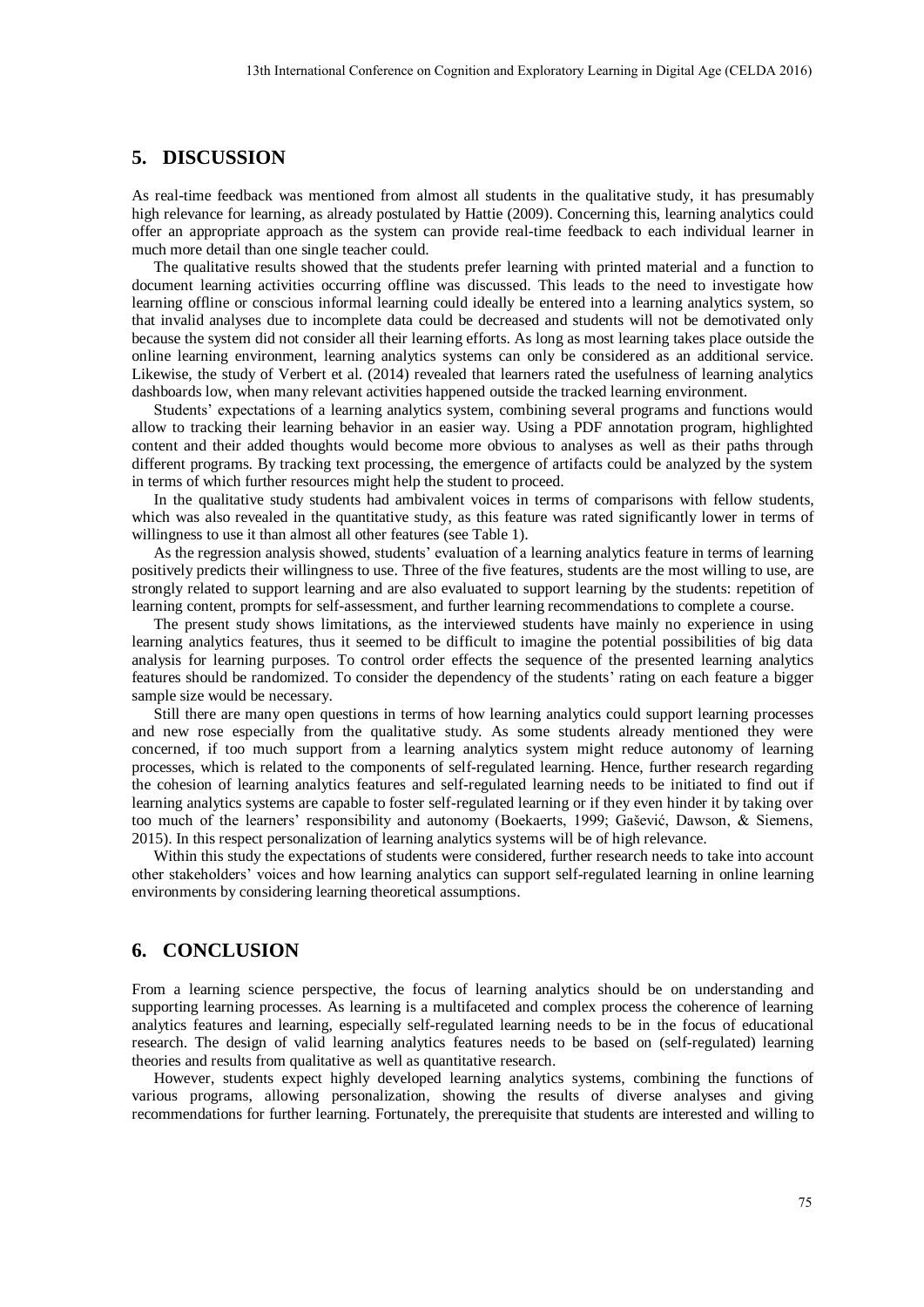# **5. DISCUSSION**

As real-time feedback was mentioned from almost all students in the qualitative study, it has presumably high relevance for learning, as already postulated by Hattie (2009). Concerning this, learning analytics could offer an appropriate approach as the system can provide real-time feedback to each individual learner in much more detail than one single teacher could.

The qualitative results showed that the students prefer learning with printed material and a function to document learning activities occurring offline was discussed. This leads to the need to investigate how learning offline or conscious informal learning could ideally be entered into a learning analytics system, so that invalid analyses due to incomplete data could be decreased and students will not be demotivated only because the system did not consider all their learning efforts. As long as most learning takes place outside the online learning environment, learning analytics systems can only be considered as an additional service. Likewise, the study of Verbert et al. (2014) revealed that learners rated the usefulness of learning analytics dashboards low, when many relevant activities happened outside the tracked learning environment.

Students' expectations of a learning analytics system, combining several programs and functions would allow to tracking their learning behavior in an easier way. Using a PDF annotation program, highlighted content and their added thoughts would become more obvious to analyses as well as their paths through different programs. By tracking text processing, the emergence of artifacts could be analyzed by the system in terms of which further resources might help the student to proceed.

In the qualitative study students had ambivalent voices in terms of comparisons with fellow students, which was also revealed in the quantitative study, as this feature was rated significantly lower in terms of willingness to use it than almost all other features (see Table 1).

As the regression analysis showed, students' evaluation of a learning analytics feature in terms of learning positively predicts their willingness to use. Three of the five features, students are the most willing to use, are strongly related to support learning and are also evaluated to support learning by the students: repetition of learning content, prompts for self-assessment, and further learning recommendations to complete a course.

The present study shows limitations, as the interviewed students have mainly no experience in using learning analytics features, thus it seemed to be difficult to imagine the potential possibilities of big data analysis for learning purposes. To control order effects the sequence of the presented learning analytics features should be randomized. To consider the dependency of the students' rating on each feature a bigger sample size would be necessary.

Still there are many open questions in terms of how learning analytics could support learning processes and new rose especially from the qualitative study. As some students already mentioned they were concerned, if too much support from a learning analytics system might reduce autonomy of learning processes, which is related to the components of self-regulated learning. Hence, further research regarding the cohesion of learning analytics features and self-regulated learning needs to be initiated to find out if learning analytics systems are capable to foster self-regulated learning or if they even hinder it by taking over too much of the learners' responsibility and autonomy (Boekaerts, 1999; Gašević, Dawson, & Siemens, 2015). In this respect personalization of learning analytics systems will be of high relevance.

Within this study the expectations of students were considered, further research needs to take into account other stakeholders' voices and how learning analytics can support self-regulated learning in online learning environments by considering learning theoretical assumptions.

# **6. CONCLUSION**

From a learning science perspective, the focus of learning analytics should be on understanding and supporting learning processes. As learning is a multifaceted and complex process the coherence of learning analytics features and learning, especially self-regulated learning needs to be in the focus of educational research. The design of valid learning analytics features needs to be based on (self-regulated) learning theories and results from qualitative as well as quantitative research.

However, students expect highly developed learning analytics systems, combining the functions of various programs, allowing personalization, showing the results of diverse analyses and giving recommendations for further learning. Fortunately, the prerequisite that students are interested and willing to